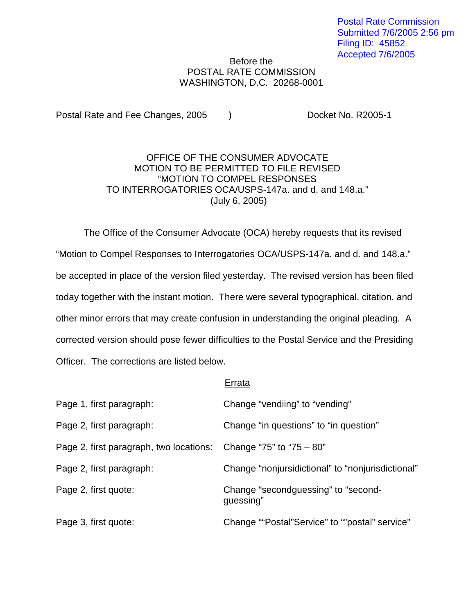## Before the POSTAL RATE COMMISSION WASHINGTON, D.C. 20268-0001

Postal Rate and Fee Changes, 2005 (a) Docket No. R2005-1

## OFFICE OF THE CONSUMER ADVOCATE MOTION TO BE PERMITTED TO FILE REVISED "MOTION TO COMPEL RESPONSES TO INTERROGATORIES OCA/USPS-147a. and d. and 148.a." (July 6, 2005)

The Office of the Consumer Advocate (OCA) hereby requests that its revised "Motion to Compel Responses to Interrogatories OCA/USPS-147a. and d. and 148.a." be accepted in place of the version filed yesterday. The revised version has been filed today together with the instant motion. There were several typographical, citation, and other minor errors that may create confusion in understanding the original pleading. A corrected version should pose fewer difficulties to the Postal Service and the Presiding Officer. The corrections are listed below.

## Errata

| Page 1, first paragraph:                                         | Change "vendiing" to "vending"                    |
|------------------------------------------------------------------|---------------------------------------------------|
| Page 2, first paragraph:                                         | Change "in questions" to "in question"            |
| Page 2, first paragraph, two locations: Change "75" to "75 – 80" |                                                   |
| Page 2, first paragraph:                                         | Change "nonjursidictional" to "nonjurisdictional" |
| Page 2, first quote:                                             | Change "secondguessing" to "second-<br>guessing"  |
| Page 3, first quote:                                             | Change ""Postal"Service" to ""postal" service"    |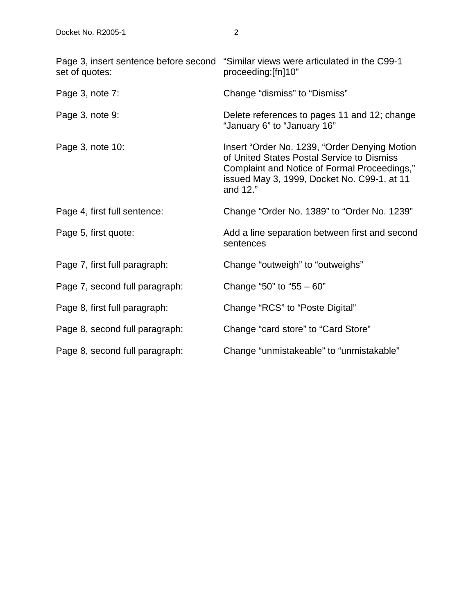| set of quotes:                 | Page 3, insert sentence before second "Similar views were articulated in the C99-1<br>proceeding:[fn]10"                                                                                               |
|--------------------------------|--------------------------------------------------------------------------------------------------------------------------------------------------------------------------------------------------------|
| Page 3, note 7:                | Change "dismiss" to "Dismiss"                                                                                                                                                                          |
| Page 3, note 9:                | Delete references to pages 11 and 12; change<br>"January 6" to "January 16"                                                                                                                            |
| Page 3, note 10:               | Insert "Order No. 1239, "Order Denying Motion<br>of United States Postal Service to Dismiss<br>Complaint and Notice of Formal Proceedings,"<br>issued May 3, 1999, Docket No. C99-1, at 11<br>and 12." |
| Page 4, first full sentence:   | Change "Order No. 1389" to "Order No. 1239"                                                                                                                                                            |
| Page 5, first quote:           | Add a line separation between first and second<br>sentences                                                                                                                                            |
| Page 7, first full paragraph:  | Change "outweigh" to "outweighs"                                                                                                                                                                       |
| Page 7, second full paragraph: | Change "50" to "55 $-60$ "                                                                                                                                                                             |
| Page 8, first full paragraph:  | Change "RCS" to "Poste Digital"                                                                                                                                                                        |
| Page 8, second full paragraph: | Change "card store" to "Card Store"                                                                                                                                                                    |
| Page 8, second full paragraph: | Change "unmistakeable" to "unmistakable"                                                                                                                                                               |